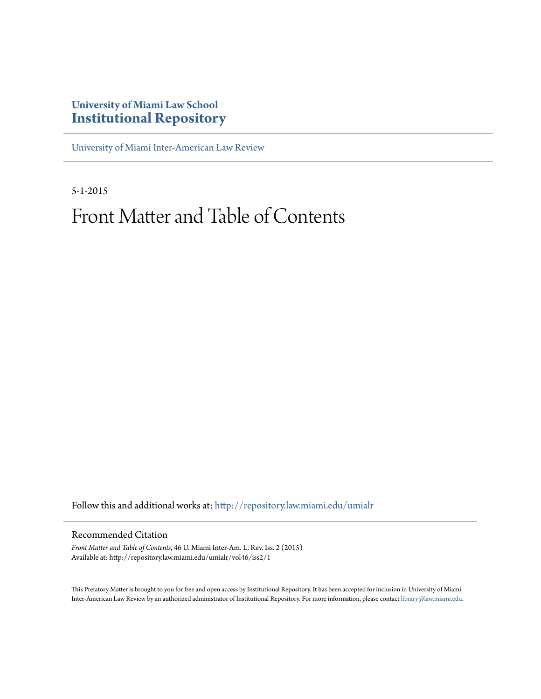# **University of Miami Law School [Institutional Repository](http://repository.law.miami.edu?utm_source=repository.law.miami.edu%2Fumialr%2Fvol46%2Fiss2%2F1&utm_medium=PDF&utm_campaign=PDFCoverPages)**

[University of Miami Inter-American Law Review](http://repository.law.miami.edu/umialr?utm_source=repository.law.miami.edu%2Fumialr%2Fvol46%2Fiss2%2F1&utm_medium=PDF&utm_campaign=PDFCoverPages)

5-1-2015

# Front Matter and Table of Contents

Follow this and additional works at: [http://repository.law.miami.edu/umialr](http://repository.law.miami.edu/umialr?utm_source=repository.law.miami.edu%2Fumialr%2Fvol46%2Fiss2%2F1&utm_medium=PDF&utm_campaign=PDFCoverPages)

# Recommended Citation

*Front Matter and Table of Contents*, 46 U. Miami Inter-Am. L. Rev. Iss. 2 (2015) Available at: http://repository.law.miami.edu/umialr/vol46/iss2/1

This Prefatory Matter is brought to you for free and open access by Institutional Repository. It has been accepted for inclusion in University of Miami Inter-American Law Review by an authorized administrator of Institutional Repository. For more information, please contact [library@law.miami.edu](mailto:library@law.miami.edu).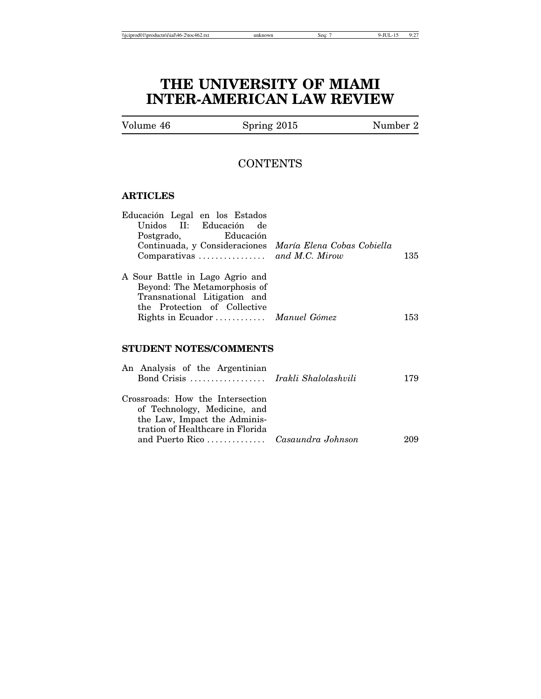# **THE UNIVERSITY OF MIAMI INTER-AMERICAN LAW REVIEW**

# **CONTENTS**

## **ARTICLES**

| Educación Legal en los Estados<br>Unidos II: Educación de<br>Postgrado, Educación<br>Continuada, y Consideraciones María Elena Cobas Cobiella                      | 135 |
|--------------------------------------------------------------------------------------------------------------------------------------------------------------------|-----|
| A Sour Battle in Lago Agrio and<br>Beyond: The Metamorphosis of<br>Transnational Litigation and<br>the Protection of Collective<br>Rights in Ecuador  Manuel Gómez | 153 |

# **STUDENT NOTES/COMMENTS**

| An Analysis of the Argentinian<br>Bond Crisis  Irakli Shalolashvili                                                                  | 179 |
|--------------------------------------------------------------------------------------------------------------------------------------|-----|
| Crossroads: How the Intersection<br>of Technology, Medicine, and<br>the Law, Impact the Adminis-<br>tration of Healthcare in Florida | 209 |
|                                                                                                                                      |     |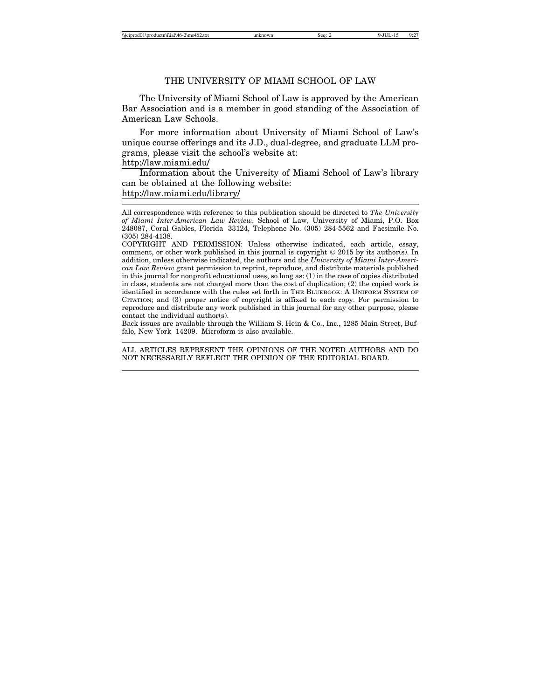#### THE UNIVERSITY OF MIAMI SCHOOL OF LAW

The University of Miami School of Law is approved by the American Bar Association and is a member in good standing of the Association of American Law Schools.

For more information about University of Miami School of Law's unique course offerings and its J.D., dual-degree, and graduate LLM programs, please visit the school's website at:

### http://law.miami.edu/

Information about the University of Miami School of Law's library can be obtained at the following website:

# http://law.miami.edu/library/

Back issues are available through the William S. Hein & Co., Inc., 1285 Main Street, Buffalo, New York 14209. Microform is also available.

ALL ARTICLES REPRESENT THE OPINIONS OF THE NOTED AUTHORS AND DO NOT NECESSARILY REFLECT THE OPINION OF THE EDITORIAL BOARD.

All correspondence with reference to this publication should be directed to *The University of Miami Inter-American Law Review*, School of Law, University of Miami, P.O. Box 248087, Coral Gables, Florida 33124, Telephone No. (305) 284-5562 and Facsimile No. (305) 284-4138.

COPYRIGHT AND PERMISSION: Unless otherwise indicated, each article, essay, comment, or other work published in this journal is copyright © 2015 by its author(s). In addition, unless otherwise indicated, the authors and the *University of Miami Inter-American Law Review* grant permission to reprint, reproduce, and distribute materials published in this journal for nonprofit educational uses, so long as: (1) in the case of copies distributed in class, students are not charged more than the cost of duplication; (2) the copied work is identified in accordance with the rules set forth in THE BLUEBOOK: A UNIFORM SYSTEM OF CITATION; and (3) proper notice of copyright is affixed to each copy. For permission to reproduce and distribute any work published in this journal for any other purpose, please contact the individual author(s).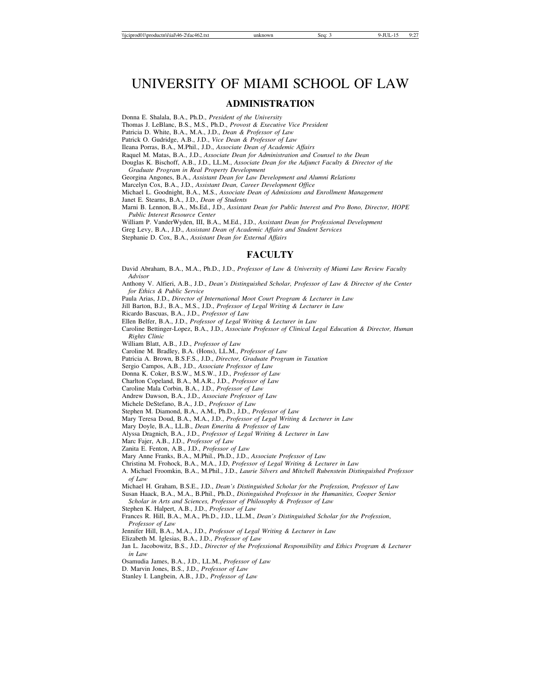# UNIVERSITY OF MIAMI SCHOOL OF LAW

### **ADMINISTRATION**

Donna E. Shalala, B.A., Ph.D., *President of the University*

Thomas J. LeBlanc, B.S., M.S., Ph.D., *Provost & Executive Vice President*

Patricia D. White, B.A., M.A., J.D., *Dean & Professor of Law*

Patrick O. Gudridge, A.B., J.D., *Vice Dean & Professor of Law*

Ileana Porras, B.A., M.Phil., J.D., *Associate Dean of Academic Affairs*

Raquel M. Matas, B.A., J.D., *Associate Dean for Administration and Counsel to the Dean*

Douglas K. Bischoff, A.B., J.D., LL.M., *Associate Dean for the Adjunct Faculty & Director of the Graduate Program in Real Property Development*

Georgina Angones, B.A., *Assistant Dean for Law Development and Alumni Relations*

Marcelyn Cox, B.A., J.D., *Assistant Dean, Career Development Office*

Michael L. Goodnight, B.A., M.S., *Associate Dean of Admissions and Enrollment Management*

Janet E. Stearns, B.A., J.D., *Dean of Students*

Marni B. Lennon, B.A., Ms.Ed., J.D., *Assistant Dean for Public Interest and Pro Bono, Director, HOPE Public Interest Resource Center*

William P. VanderWyden, III, B.A., M.Ed., J.D., *Assistant Dean for Professional Development*

Greg Levy, B.A., J.D., *Assistant Dean of Academic Affairs and Student Services*

Stephanie D. Cox, B.A., *Assistant Dean for External Affairs*

### **FACULTY**

David Abraham, B.A., M.A., Ph.D., J.D., *Professor of Law & University of Miami Law Review Faculty Advisor*

Anthony V. Alfieri, A.B., J.D., *Dean's Distinguished Scholar, Professor of Law & Director of the Center for Ethics & Public Service*

Paula Arias, J.D., *Director of International Moot Court Program & Lecturer in Law*

Jill Barton, B.J., B.A., M.S., J.D., *Professor of Legal Writing & Lecturer in Law*

Ricardo Bascuas, B.A., J.D., *Professor of Law*

Ellen Belfer, B.A., J.D., *Professor of Legal Writing & Lecturer in Law*

Caroline Bettinger-Lopez, B.A., J.D., *Associate Professor of Clinical Legal Education & Director, Human Rights Clinic*

William Blatt, A.B., J.D., *Professor of Law*

Caroline M. Bradley, B.A. (Hons), LL.M., *Professor of Law*

Patricia A. Brown, B.S.F.S., J.D., *Director, Graduate Program in Taxation*

Sergio Campos, A.B., J.D., *Associate Professor of Law*

Donna K. Coker, B.S.W., M.S.W., J.D., *Professor of Law*

Charlton Copeland, B.A., M.A.R., J.D., *Professor of Law*

Caroline Mala Corbin, B.A., J.D., *Professor of Law*

Andrew Dawson, B.A., J.D., *Associate Professor of Law*

Michele DeStefano, B.A., J.D., *Professor of Law*

Stephen M. Diamond, B.A., A.M., Ph.D., J.D., *Professor of Law*

Mary Teresa Doud, B.A., M.A., J.D., *Professor of Legal Writing & Lecturer in Law*

Mary Doyle, B.A., LL.B., *Dean Emerita & Professor of Law*

Alyssa Dragnich, B.A., J.D., *Professor of Legal Writing & Lecturer in Law*

Marc Fajer, A.B., J.D., *Professor of Law*

Zanita E. Fenton, A.B., J.D., *Professor of Law*

Mary Anne Franks, B.A., M.Phil., Ph.D., J.D., *Associate Professor of Law*

Christina M. Frohock, B.A., M.A., J.D, *Professor of Legal Writing & Lecturer in Law*

A. Michael Froomkin, B.A., M.Phil., J.D., *Laurie Silvers and Mitchell Rubenstein Distinguished Professor of Law*

Michael H. Graham, B.S.E., J.D., *Dean's Distinguished Scholar for the Profession, Professor of Law*

Susan Haack, B.A., M.A., B.Phil., Ph.D., *Distinguished Professor in the Humanities, Cooper Senior*

*Scholar in Arts and Sciences, Professor of Philosophy & Professor of Law* Stephen K. Halpert, A.B., J.D., *Professor of Law*

Frances R. Hill, B.A., M.A., Ph.D., J.D., LL.M., *Dean's Distinguished Scholar for the Profession*, *Professor of Law*

Jennifer Hill, B.A., M.A., J.D., *Professor of Legal Writing & Lecturer in Law*

Elizabeth M. Iglesias, B.A., J.D., *Professor of Law*

Jan L. Jacobowitz, B.S., J.D., *Director of the Professional Responsibility and Ethics Program & Lecturer in Law*

Osamudia James, B.A., J.D., LL.M., *Professor of Law*

D. Marvin Jones, B.S., J.D., *Professor of Law*

Stanley I. Langbein, A.B., J.D., *Professor of Law*